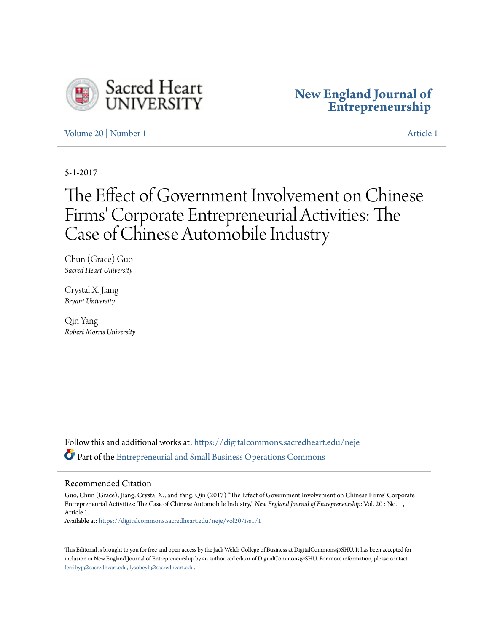

### **[New England Journal of](https://digitalcommons.sacredheart.edu/neje?utm_source=digitalcommons.sacredheart.edu%2Fneje%2Fvol20%2Fiss1%2F1&utm_medium=PDF&utm_campaign=PDFCoverPages) [Entrepreneurship](https://digitalcommons.sacredheart.edu/neje?utm_source=digitalcommons.sacredheart.edu%2Fneje%2Fvol20%2Fiss1%2F1&utm_medium=PDF&utm_campaign=PDFCoverPages)**

[Volume 20](https://digitalcommons.sacredheart.edu/neje/vol20?utm_source=digitalcommons.sacredheart.edu%2Fneje%2Fvol20%2Fiss1%2F1&utm_medium=PDF&utm_campaign=PDFCoverPages) | [Number 1](https://digitalcommons.sacredheart.edu/neje/vol20/iss1?utm_source=digitalcommons.sacredheart.edu%2Fneje%2Fvol20%2Fiss1%2F1&utm_medium=PDF&utm_campaign=PDFCoverPages) [Article 1](https://digitalcommons.sacredheart.edu/neje/vol20/iss1/1?utm_source=digitalcommons.sacredheart.edu%2Fneje%2Fvol20%2Fiss1%2F1&utm_medium=PDF&utm_campaign=PDFCoverPages)

5-1-2017

## The Effect of Government Involvement on Chinese Firms' Corporate Entrepreneurial Activities: The Case of Chinese Automobile Industry

Chun (Grace) Guo *Sacred Heart University*

Crystal X. Jiang *Bryant University*

Qin Yang *Robert Morris University*

Follow this and additional works at: [https://digitalcommons.sacredheart.edu/neje](https://digitalcommons.sacredheart.edu/neje?utm_source=digitalcommons.sacredheart.edu%2Fneje%2Fvol20%2Fiss1%2F1&utm_medium=PDF&utm_campaign=PDFCoverPages) Part of the [Entrepreneurial and Small Business Operations Commons](http://network.bepress.com/hgg/discipline/630?utm_source=digitalcommons.sacredheart.edu%2Fneje%2Fvol20%2Fiss1%2F1&utm_medium=PDF&utm_campaign=PDFCoverPages)

#### Recommended Citation

Guo, Chun (Grace); Jiang, Crystal X.; and Yang, Qin (2017) "The Effect of Government Involvement on Chinese Firms' Corporate Entrepreneurial Activities: The Case of Chinese Automobile Industry," *New England Journal of Entrepreneurship*: Vol. 20 : No. 1 , Article 1.

Available at: [https://digitalcommons.sacredheart.edu/neje/vol20/iss1/1](https://digitalcommons.sacredheart.edu/neje/vol20/iss1/1?utm_source=digitalcommons.sacredheart.edu%2Fneje%2Fvol20%2Fiss1%2F1&utm_medium=PDF&utm_campaign=PDFCoverPages)

This Editorial is brought to you for free and open access by the Jack Welch College of Business at DigitalCommons@SHU. It has been accepted for inclusion in New England Journal of Entrepreneurship by an authorized editor of DigitalCommons@SHU. For more information, please contact [ferribyp@sacredheart.edu, lysobeyb@sacredheart.edu.](mailto:ferribyp@sacredheart.edu,%20lysobeyb@sacredheart.edu)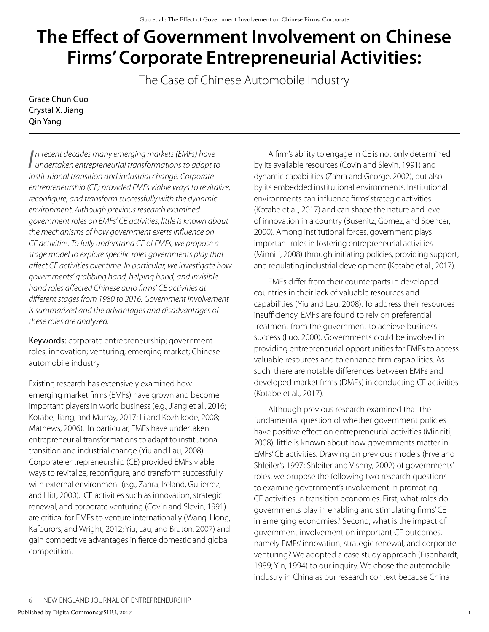# **The Effect of Government Involvement on Chinese Firms' Corporate Entrepreneurial Activities:**

The Case of Chinese Automobile Industry

#### Grace Chun Guo Crystal X. Jiang Qin Yang

*I undertaken entrepreneurial transformations to adapt to n recent decades many emerging markets (EMFs) have institutional transition and industrial change. Corporate entrepreneurship (CE) provided EMFs viable ways to revitalize, reconfigure, and transform successfully with the dynamic environment. Although previous research examined government roles on EMFs' CE activities, little is known about the mechanisms of how government exerts influence on CE activities. To fully understand CE of EMFs, we propose a stage model to explore specific roles governments play that affect CE activities over time. In particular, we investigate how governments' grabbing hand, helping hand, and invisible hand roles affected Chinese auto firms' CE activities at different stages from 1980 to 2016. Government involvement is summarized and the advantages and disadvantages of these roles are analyzed.*

Keywords: corporate entrepreneurship; government roles; innovation; venturing; emerging market; Chinese automobile industry

Existing research has extensively examined how emerging market firms (EMFs) have grown and become important players in world business (e.g., Jiang et al., 2016; Kotabe, Jiang, and Murray, 2017; Li and Kozhikode, 2008; Mathews, 2006). In particular, EMFs have undertaken entrepreneurial transformations to adapt to institutional transition and industrial change (Yiu and Lau, 2008). Corporate entrepreneurship (CE) provided EMFs viable ways to revitalize, reconfigure, and transform successfully with external environment (e.g., Zahra, Ireland, Gutierrez, and Hitt, 2000). CE activities such as innovation, strategic renewal, and corporate venturing (Covin and Slevin, 1991) are critical for EMFs to venture internationally (Wang, Hong, Kafourors, and Wright, 2012; Yiu, Lau, and Bruton, 2007) and gain competitive advantages in fierce domestic and global competition.

A firm's ability to engage in CE is not only determined by its available resources (Covin and Slevin, 1991) and dynamic capabilities (Zahra and George, 2002), but also by its embedded institutional environments. Institutional environments can influence firms' strategic activities (Kotabe et al., 2017) and can shape the nature and level of innovation in a country (Busenitz, Gomez, and Spencer, 2000). Among institutional forces, government plays important roles in fostering entrepreneurial activities (Minniti, 2008) through initiating policies, providing support, and regulating industrial development (Kotabe et al., 2017).

EMFs differ from their counterparts in developed countries in their lack of valuable resources and capabilities (Yiu and Lau, 2008). To address their resources insufficiency, EMFs are found to rely on preferential treatment from the government to achieve business success (Luo, 2000). Governments could be involved in providing entrepreneurial opportunities for EMFs to access valuable resources and to enhance firm capabilities. As such, there are notable differences between EMFs and developed market firms (DMFs) in conducting CE activities (Kotabe et al., 2017).

Although previous research examined that the fundamental question of whether government policies have positive effect on entrepreneurial activities (Minniti, 2008), little is known about how governments matter in EMFs' CE activities. Drawing on previous models (Frye and Shleifer's 1997; Shleifer and Vishny, 2002) of governments' roles, we propose the following two research questions to examine government's involvement in promoting CE activities in transition economies. First, what roles do governments play in enabling and stimulating firms' CE in emerging economies? Second, what is the impact of government involvement on important CE outcomes, namely EMFs' innovation, strategic renewal, and corporate venturing? We adopted a case study approach (Eisenhardt, 1989; Yin, 1994) to our inquiry. We chose the automobile industry in China as our research context because China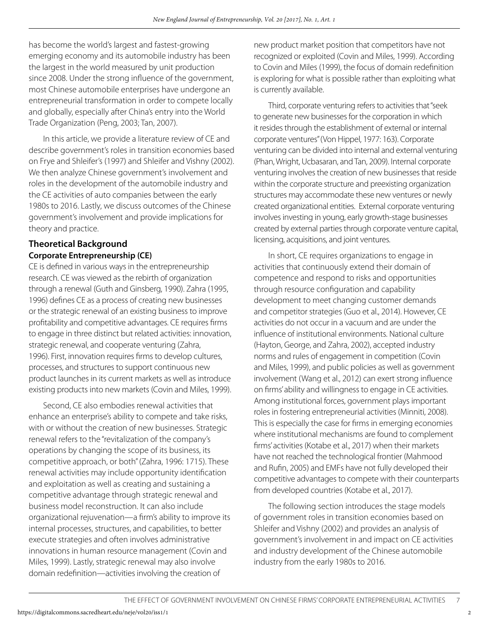has become the world's largest and fastest-growing emerging economy and its automobile industry has been the largest in the world measured by unit production since 2008. Under the strong influence of the government, most Chinese automobile enterprises have undergone an entrepreneurial transformation in order to compete locally and globally, especially after China's entry into the World Trade Organization (Peng, 2003; Tan, 2007).

In this article, we provide a literature review of CE and describe government's roles in transition economies based on Frye and Shleifer's (1997) and Shleifer and Vishny (2002). We then analyze Chinese government's involvement and roles in the development of the automobile industry and the CE activities of auto companies between the early 1980s to 2016. Lastly, we discuss outcomes of the Chinese government's involvement and provide implications for theory and practice.

#### **Theoretical Background Corporate Entrepreneurship (CE)**

CE is defined in various ways in the entrepreneurship research. CE was viewed as the rebirth of organization through a renewal (Guth and Ginsberg, 1990). Zahra (1995, 1996) defines CE as a process of creating new businesses or the strategic renewal of an existing business to improve profitability and competitive advantages. CE requires firms to engage in three distinct but related activities: innovation, strategic renewal, and cooperate venturing (Zahra, 1996). First, innovation requires firms to develop cultures, processes, and structures to support continuous new product launches in its current markets as well as introduce existing products into new markets (Covin and Miles, 1999).

Second, CE also embodies renewal activities that enhance an enterprise's ability to compete and take risks, with or without the creation of new businesses. Strategic renewal refers to the "revitalization of the company's operations by changing the scope of its business, its competitive approach, or both" (Zahra, 1996: 1715). These renewal activities may include opportunity identification and exploitation as well as creating and sustaining a competitive advantage through strategic renewal and business model reconstruction. It can also include organizational rejuvenation—a firm's ability to improve its internal processes, structures, and capabilities, to better execute strategies and often involves administrative innovations in human resource management (Covin and Miles, 1999). Lastly, strategic renewal may also involve domain redefinition—activities involving the creation of

new product market position that competitors have not recognized or exploited (Covin and Miles, 1999). According to Covin and Miles (1999), the focus of domain redefinition is exploring for what is possible rather than exploiting what is currently available.

Third, corporate venturing refers to activities that "seek to generate new businesses for the corporation in which it resides through the establishment of external or internal corporate ventures" (Von Hippel, 1977: 163). Corporate venturing can be divided into internal and external venturing (Phan, Wright, Ucbasaran, and Tan, 2009). Internal corporate venturing involves the creation of new businesses that reside within the corporate structure and preexisting organization structures may accommodate these new ventures or newly created organizational entities. External corporate venturing involves investing in young, early growth-stage businesses created by external parties through corporate venture capital, licensing, acquisitions, and joint ventures.

In short, CE requires organizations to engage in activities that continuously extend their domain of competence and respond to risks and opportunities through resource configuration and capability development to meet changing customer demands and competitor strategies (Guo et al., 2014). However, CE activities do not occur in a vacuum and are under the influence of institutional environments. National culture (Hayton, George, and Zahra, 2002), accepted industry norms and rules of engagement in competition (Covin and Miles, 1999), and public policies as well as government involvement (Wang et al., 2012) can exert strong influence on firms' ability and willingness to engage in CE activities. Among institutional forces, government plays important roles in fostering entrepreneurial activities (Minniti, 2008). This is especially the case for firms in emerging economies where institutional mechanisms are found to complement firms' activities (Kotabe et al., 2017) when their markets have not reached the technological frontier (Mahmood and Rufin, 2005) and EMFs have not fully developed their competitive advantages to compete with their counterparts from developed countries (Kotabe et al., 2017).

The following section introduces the stage models of government roles in transition economies based on Shleifer and Vishny (2002) and provides an analysis of government's involvement in and impact on CE activities and industry development of the Chinese automobile industry from the early 1980s to 2016.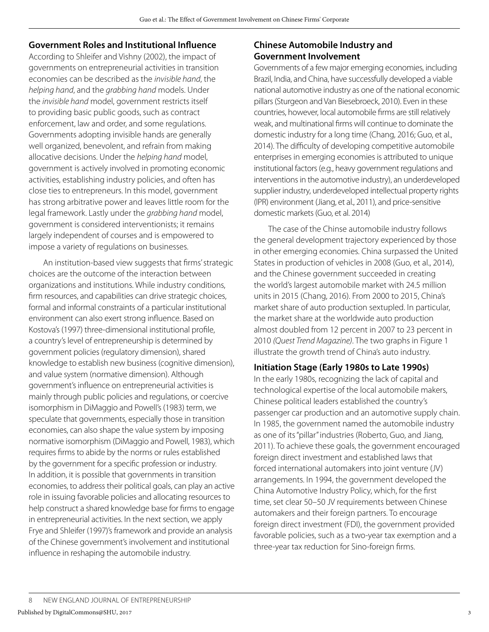#### **Government Roles and Institutional Influence**

According to Shleifer and Vishny (2002), the impact of governments on entrepreneurial activities in transition economies can be described as the *invisible hand*, the *helping hand*, and the *grabbing hand* models. Under the *invisible hand* model, government restricts itself to providing basic public goods, such as contract enforcement, law and order, and some regulations. Governments adopting invisible hands are generally well organized, benevolent, and refrain from making allocative decisions. Under the *helping hand* model, government is actively involved in promoting economic activities, establishing industry policies, and often has close ties to entrepreneurs. In this model, government has strong arbitrative power and leaves little room for the legal framework. Lastly under the *grabbing hand* model, government is considered interventionists; it remains largely independent of courses and is empowered to impose a variety of regulations on businesses.

An institution-based view suggests that firms' strategic choices are the outcome of the interaction between organizations and institutions. While industry conditions, firm resources, and capabilities can drive strategic choices, formal and informal constraints of a particular institutional environment can also exert strong influence. Based on Kostova's (1997) three-dimensional institutional profile, a country's level of entrepreneurship is determined by government policies (regulatory dimension), shared knowledge to establish new business (cognitive dimension), and value system (normative dimension). Although government's influence on entrepreneurial activities is mainly through public policies and regulations, or coercive isomorphism in DiMaggio and Powell's (1983) term, we speculate that governments, especially those in transition economies, can also shape the value system by imposing normative isomorphism (DiMaggio and Powell, 1983), which requires firms to abide by the norms or rules established by the government for a specific profession or industry. In addition, it is possible that governments in transition economies, to address their political goals, can play an active role in issuing favorable policies and allocating resources to help construct a shared knowledge base for firms to engage in entrepreneurial activities. In the next section, we apply Frye and Shleifer (1997)'s framework and provide an analysis of the Chinese government's involvement and institutional influence in reshaping the automobile industry.

#### **Chinese Automobile Industry and Government Involvement**

Governments of a few major emerging economies, including Brazil, India, and China, have successfully developed a viable national automotive industry as one of the national economic pillars (Sturgeon and Van Biesebroeck, 2010). Even in these countries, however, local automobile firms are still relatively weak, and multinational firms will continue to dominate the domestic industry for a long time (Chang, 2016; Guo, et al., 2014). The difficulty of developing competitive automobile enterprises in emerging economies is attributed to unique institutional factors (e.g., heavy government regulations and interventions in the automotive industry), an underdeveloped supplier industry, underdeveloped intellectual property rights (IPR) environment (Jiang, et al., 2011), and price-sensitive domestic markets (Guo, et al. 2014)

The case of the Chinse automobile industry follows the general development trajectory experienced by those in other emerging economies. China surpassed the United States in production of vehicles in 2008 (Guo, et al., 2014), and the Chinese government succeeded in creating the world's largest automobile market with 24.5 million units in 2015 (Chang, 2016). From 2000 to 2015, China's market share of auto production sextupled. In particular, the market share at the worldwide auto production almost doubled from 12 percent in 2007 to 23 percent in 2010 *(Quest Trend Magazine)*. The two graphs in Figure 1 illustrate the growth trend of China's auto industry.

#### **Initiation Stage (Early 1980s to Late 1990s)**

In the early 1980s, recognizing the lack of capital and technological expertise of the local automobile makers, Chinese political leaders established the country's passenger car production and an automotive supply chain. In 1985, the government named the automobile industry as one of its "pillar" industries (Roberto, Guo, and Jiang, 2011). To achieve these goals, the government encouraged foreign direct investment and established laws that forced international automakers into joint venture (JV) arrangements. In 1994, the government developed the China Automotive Industry Policy, which, for the first time, set clear 50–50 JV requirements between Chinese automakers and their foreign partners. To encourage foreign direct investment (FDI), the government provided favorable policies, such as a two-year tax exemption and a three-year tax reduction for Sino-foreign firms.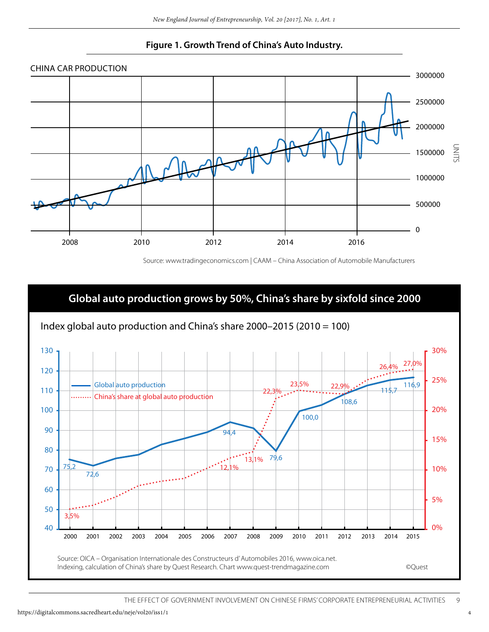



Source: www.tradingeconomics.com | CAAM – China Association of Automobile Manufacturers

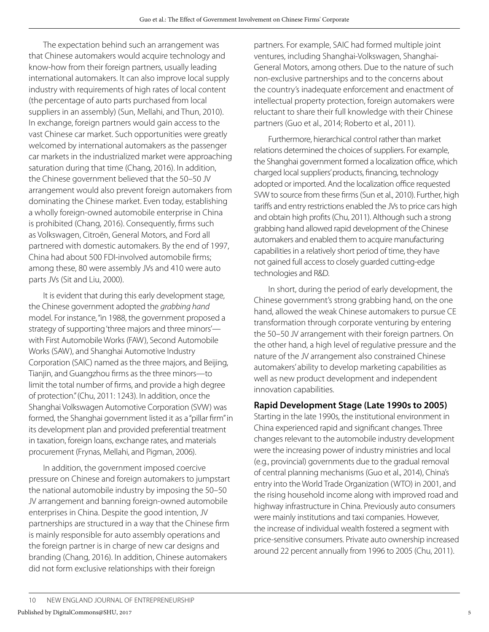The expectation behind such an arrangement was that Chinese automakers would acquire technology and know-how from their foreign partners, usually leading international automakers. It can also improve local supply industry with requirements of high rates of local content (the percentage of auto parts purchased from local suppliers in an assembly) (Sun, Mellahi, and Thun, 2010). In exchange, foreign partners would gain access to the vast Chinese car market. Such opportunities were greatly welcomed by international automakers as the passenger car markets in the industrialized market were approaching saturation during that time (Chang, 2016). In addition, the Chinese government believed that the 50–50 JV arrangement would also prevent foreign automakers from dominating the Chinese market. Even today, establishing a wholly foreign-owned automobile enterprise in China is prohibited (Chang, 2016). Consequently, firms such as Volkswagen, Citroën, General Motors, and Ford all partnered with domestic automakers. By the end of 1997, China had about 500 FDI-involved automobile firms; among these, 80 were assembly JVs and 410 were auto parts JVs (Sit and Liu, 2000).

It is evident that during this early development stage, the Chinese government adopted the *grabbing hand* model. For instance, "in 1988, the government proposed a strategy of supporting 'three majors and three minors' with First Automobile Works (FAW), Second Automobile Works (SAW), and Shanghai Automotive Industry Corporation (SAIC) named as the three majors, and Beijing, Tianjin, and Guangzhou firms as the three minors—to limit the total number of firms, and provide a high degree of protection." (Chu, 2011: 1243). In addition, once the Shanghai Volkswagen Automotive Corporation (SVW) was formed, the Shanghai government listed it as a "pillar firm" in its development plan and provided preferential treatment in taxation, foreign loans, exchange rates, and materials procurement (Frynas, Mellahi, and Pigman, 2006).

In addition, the government imposed coercive pressure on Chinese and foreign automakers to jumpstart the national automobile industry by imposing the 50–50 JV arrangement and banning foreign-owned automobile enterprises in China. Despite the good intention, JV partnerships are structured in a way that the Chinese firm is mainly responsible for auto assembly operations and the foreign partner is in charge of new car designs and branding (Chang, 2016). In addition, Chinese automakers did not form exclusive relationships with their foreign

partners. For example, SAIC had formed multiple joint ventures, including Shanghai-Volkswagen, Shanghai-General Motors, among others. Due to the nature of such non-exclusive partnerships and to the concerns about the country's inadequate enforcement and enactment of intellectual property protection, foreign automakers were reluctant to share their full knowledge with their Chinese partners (Guo et al., 2014; Roberto et al., 2011).

Furthermore, hierarchical control rather than market relations determined the choices of suppliers. For example, the Shanghai government formed a localization office, which charged local suppliers' products, financing, technology adopted or imported. And the localization office requested SVW to source from these firms (Sun et al., 2010). Further, high tariffs and entry restrictions enabled the JVs to price cars high and obtain high profits (Chu, 2011). Although such a strong grabbing hand allowed rapid development of the Chinese automakers and enabled them to acquire manufacturing capabilities in a relatively short period of time, they have not gained full access to closely guarded cutting-edge technologies and R&D.

In short, during the period of early development, the Chinese government's strong grabbing hand, on the one hand, allowed the weak Chinese automakers to pursue CE transformation through corporate venturing by entering the 50–50 JV arrangement with their foreign partners. On the other hand, a high level of regulative pressure and the nature of the JV arrangement also constrained Chinese automakers' ability to develop marketing capabilities as well as new product development and independent innovation capabilities.

#### **Rapid Development Stage (Late 1990s to 2005)**

Starting in the late 1990s, the institutional environment in China experienced rapid and significant changes. Three changes relevant to the automobile industry development were the increasing power of industry ministries and local (e.g., provincial) governments due to the gradual removal of central planning mechanisms (Guo et al., 2014), China's entry into the World Trade Organization (WTO) in 2001, and the rising household income along with improved road and highway infrastructure in China. Previously auto consumers were mainly institutions and taxi companies. However, the increase of individual wealth fostered a segment with price-sensitive consumers. Private auto ownership increased around 22 percent annually from 1996 to 2005 (Chu, 2011).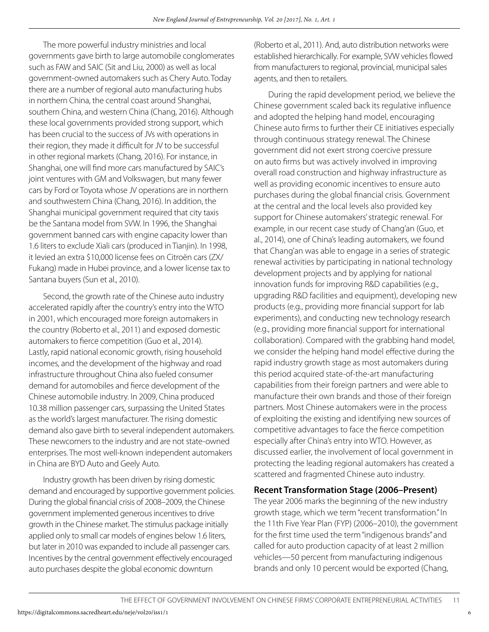The more powerful industry ministries and local governments gave birth to large automobile conglomerates such as FAW and SAIC (Sit and Liu, 2000) as well as local government-owned automakers such as Chery Auto. Today there are a number of regional auto manufacturing hubs in northern China, the central coast around Shanghai, southern China, and western China (Chang, 2016). Although these local governments provided strong support, which has been crucial to the success of JVs with operations in their region, they made it difficult for JV to be successful in other regional markets (Chang, 2016). For instance, in Shanghai, one will find more cars manufactured by SAIC's joint ventures with GM and Volkswagen, but many fewer cars by Ford or Toyota whose JV operations are in northern and southwestern China (Chang, 2016). In addition, the Shanghai municipal government required that city taxis be the Santana model from SVW. In 1996, the Shanghai government banned cars with engine capacity lower than 1.6 liters to exclude Xiali cars (produced in Tianjin). In 1998, it levied an extra \$10,000 license fees on Citroën cars (ZX/ Fukang) made in Hubei province, and a lower license tax to Santana buyers (Sun et al., 2010).

Second, the growth rate of the Chinese auto industry accelerated rapidly after the country's entry into the WTO in 2001, which encouraged more foreign automakers in the country (Roberto et al., 2011) and exposed domestic automakers to fierce competition (Guo et al., 2014). Lastly, rapid national economic growth, rising household incomes, and the development of the highway and road infrastructure throughout China also fueled consumer demand for automobiles and fierce development of the Chinese automobile industry. In 2009, China produced 10.38 million passenger cars, surpassing the United States as the world's largest manufacturer. The rising domestic demand also gave birth to several independent automakers. These newcomers to the industry and are not state-owned enterprises. The most well-known independent automakers in China are BYD Auto and Geely Auto.

Industry growth has been driven by rising domestic demand and encouraged by supportive government policies. During the global financial crisis of 2008–2009, the Chinese government implemented generous incentives to drive growth in the Chinese market. The stimulus package initially applied only to small car models of engines below 1.6 liters, but later in 2010 was expanded to include all passenger cars. Incentives by the central government effectively encouraged auto purchases despite the global economic downturn

(Roberto et al., 2011). And, auto distribution networks were established hierarchically. For example, SVW vehicles flowed from manufacturers to regional, provincial, municipal sales agents, and then to retailers.

During the rapid development period, we believe the Chinese government scaled back its regulative influence and adopted the helping hand model, encouraging Chinese auto firms to further their CE initiatives especially through continuous strategy renewal. The Chinese government did not exert strong coercive pressure on auto firms but was actively involved in improving overall road construction and highway infrastructure as well as providing economic incentives to ensure auto purchases during the global financial crisis. Government at the central and the local levels also provided key support for Chinese automakers' strategic renewal. For example, in our recent case study of Chang'an (Guo, et al., 2014), one of China's leading automakers, we found that Chang'an was able to engage in a series of strategic renewal activities by participating in national technology development projects and by applying for national innovation funds for improving R&D capabilities (e.g., upgrading R&D facilities and equipment), developing new products (e.g., providing more financial support for lab experiments), and conducting new technology research (e.g., providing more financial support for international collaboration). Compared with the grabbing hand model, we consider the helping hand model effective during the rapid industry growth stage as most automakers during this period acquired state-of-the-art manufacturing capabilities from their foreign partners and were able to manufacture their own brands and those of their foreign partners. Most Chinese automakers were in the process of exploiting the existing and identifying new sources of competitive advantages to face the fierce competition especially after China's entry into WTO. However, as discussed earlier, the involvement of local government in protecting the leading regional automakers has created a scattered and fragmented Chinese auto industry.

#### **Recent Transformation Stage (2006–Present)**

The year 2006 marks the beginning of the new industry growth stage, which we term "recent transformation." In the 11th Five Year Plan (FYP) (2006–2010), the government for the first time used the term "indigenous brands" and called for auto production capacity of at least 2 million vehicles—50 percent from manufacturing indigenous brands and only 10 percent would be exported (Chang,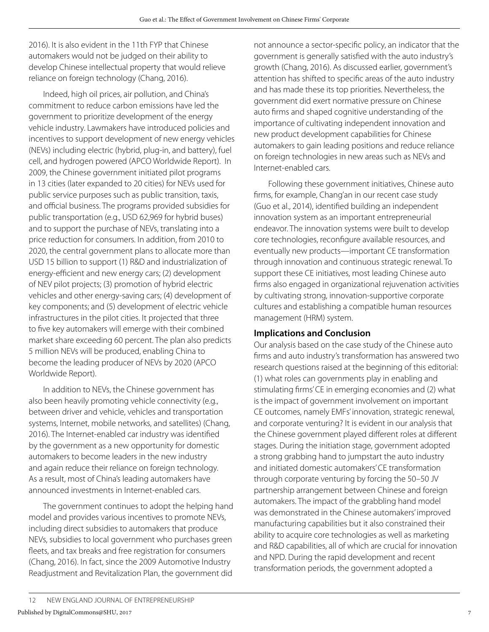2016). It is also evident in the 11th FYP that Chinese automakers would not be judged on their ability to develop Chinese intellectual property that would relieve reliance on foreign technology (Chang, 2016).

Indeed, high oil prices, air pollution, and China's commitment to reduce carbon emissions have led the government to prioritize development of the energy vehicle industry. Lawmakers have introduced policies and incentives to support development of new energy vehicles (NEVs) including electric (hybrid, plug-in, and battery), fuel cell, and hydrogen powered (APCO Worldwide Report). In 2009, the Chinese government initiated pilot programs in 13 cities (later expanded to 20 cities) for NEVs used for public service purposes such as public transition, taxis, and official business. The programs provided subsidies for public transportation (e.g., USD 62,969 for hybrid buses) and to support the purchase of NEVs, translating into a price reduction for consumers. In addition, from 2010 to 2020, the central government plans to allocate more than USD 15 billion to support (1) R&D and industrialization of energy-efficient and new energy cars; (2) development of NEV pilot projects; (3) promotion of hybrid electric vehicles and other energy-saving cars; (4) development of key components; and (5) development of electric vehicle infrastructures in the pilot cities. It projected that three to five key automakers will emerge with their combined market share exceeding 60 percent. The plan also predicts 5 million NEVs will be produced, enabling China to become the leading producer of NEVs by 2020 (APCO Worldwide Report).

In addition to NEVs, the Chinese government has also been heavily promoting vehicle connectivity (e.g., between driver and vehicle, vehicles and transportation systems, Internet, mobile networks, and satellites) (Chang, 2016). The Internet-enabled car industry was identified by the government as a new opportunity for domestic automakers to become leaders in the new industry and again reduce their reliance on foreign technology. As a result, most of China's leading automakers have announced investments in Internet-enabled cars.

The government continues to adopt the helping hand model and provides various incentives to promote NEVs, including direct subsidies to automakers that produce NEVs, subsidies to local government who purchases green fleets, and tax breaks and free registration for consumers (Chang, 2016). In fact, since the 2009 Automotive Industry Readjustment and Revitalization Plan, the government did

not announce a sector-specific policy, an indicator that the government is generally satisfied with the auto industry's growth (Chang, 2016). As discussed earlier, government's attention has shifted to specific areas of the auto industry and has made these its top priorities. Nevertheless, the government did exert normative pressure on Chinese auto firms and shaped cognitive understanding of the importance of cultivating independent innovation and new product development capabilities for Chinese automakers to gain leading positions and reduce reliance on foreign technologies in new areas such as NEVs and Internet-enabled cars.

Following these government initiatives, Chinese auto firms, for example, Chang'an in our recent case study (Guo et al., 2014), identified building an independent innovation system as an important entrepreneurial endeavor. The innovation systems were built to develop core technologies, reconfigure available resources, and eventually new products—important CE transformation through innovation and continuous strategic renewal. To support these CE initiatives, most leading Chinese auto firms also engaged in organizational rejuvenation activities by cultivating strong, innovation-supportive corporate cultures and establishing a compatible human resources management (HRM) system.

#### **Implications and Conclusion**

Our analysis based on the case study of the Chinese auto firms and auto industry's transformation has answered two research questions raised at the beginning of this editorial: (1) what roles can governments play in enabling and stimulating firms' CE in emerging economies and (2) what is the impact of government involvement on important CE outcomes, namely EMFs' innovation, strategic renewal, and corporate venturing? It is evident in our analysis that the Chinese government played different roles at different stages. During the initiation stage, government adopted a strong grabbing hand to jumpstart the auto industry and initiated domestic automakers' CE transformation through corporate venturing by forcing the 50–50 JV partnership arrangement between Chinese and foreign automakers. The impact of the grabbling hand model was demonstrated in the Chinese automakers' improved manufacturing capabilities but it also constrained their ability to acquire core technologies as well as marketing and R&D capabilities, all of which are crucial for innovation and NPD. During the rapid development and recent transformation periods, the government adopted a

12 NEW ENGLAND JOURNAL OF ENTREPRENEURSHIP Published by DigitalCommons@SHU, 2017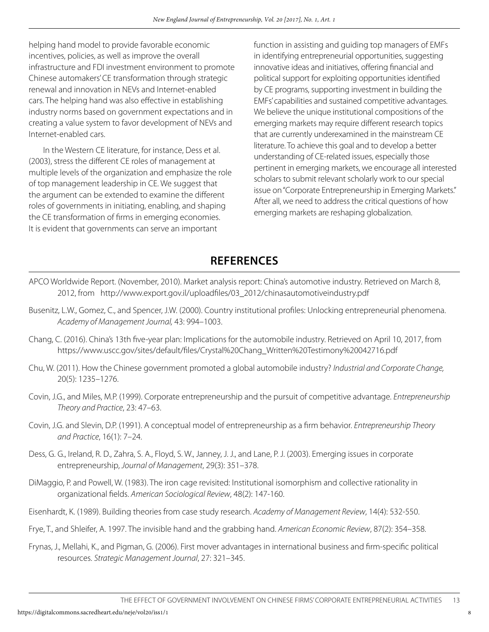helping hand model to provide favorable economic incentives, policies, as well as improve the overall infrastructure and FDI investment environment to promote Chinese automakers' CE transformation through strategic renewal and innovation in NEVs and Internet-enabled cars. The helping hand was also effective in establishing industry norms based on government expectations and in creating a value system to favor development of NEVs and Internet-enabled cars.

In the Western CE literature, for instance, Dess et al. (2003), stress the different CE roles of management at multiple levels of the organization and emphasize the role of top management leadership in CE. We suggest that the argument can be extended to examine the different roles of governments in initiating, enabling, and shaping the CE transformation of firms in emerging economies. It is evident that governments can serve an important

function in assisting and guiding top managers of EMFs in identifying entrepreneurial opportunities, suggesting innovative ideas and initiatives, offering financial and political support for exploiting opportunities identified by CE programs, supporting investment in building the EMFs' capabilities and sustained competitive advantages. We believe the unique institutional compositions of the emerging markets may require different research topics that are currently underexamined in the mainstream CE literature. To achieve this goal and to develop a better understanding of CE-related issues, especially those pertinent in emerging markets, we encourage all interested scholars to submit relevant scholarly work to our special issue on "Corporate Entrepreneurship in Emerging Markets." After all, we need to address the critical questions of how emerging markets are reshaping globalization.

## **REFERENCES**

- APCO Worldwide Report. (November, 2010). Market analysis report: China's automotive industry. Retrieved on March 8, 2012, from http://www.export.gov.il/uploadfiles/03\_2012/chinasautomotiveindustry.pdf
- Busenitz, L.W., Gomez, C., and Spencer, J.W. (2000). Country institutional profiles: Unlocking entrepreneurial phenomena. *Academy of Management Journal,* 43: 994–1003.
- Chang, C. (2016). China's 13th five-year plan: Implications for the automobile industry. Retrieved on April 10, 2017, from https://www.uscc.gov/sites/default/files/Crystal%20Chang\_Written%20Testimony%20042716.pdf
- Chu, W. (2011). How the Chinese government promoted a global automobile industry? *Industrial and Corporate Change,* 20(5): 1235–1276.
- Covin, J.G., and Miles, M.P. (1999). Corporate entrepreneurship and the pursuit of competitive advantage. *Entrepreneurship Theory and Practice*, 23: 47–63.
- Covin, J.G. and Slevin, D.P. (1991). A conceptual model of entrepreneurship as a firm behavior. *Entrepreneurship Theory and Practice*, 16(1): 7–24.
- Dess, G. G., Ireland, R. D., Zahra, S. A., Floyd, S. W., Janney, J. J., and Lane, P. J. (2003). Emerging issues in corporate entrepreneurship, *Journal of Management*, 29(3): 351–378.
- DiMaggio, P. and Powell, W. (1983). The iron cage revisited: Institutional isomorphism and collective rationality in organizational fields. *American Sociological Review*, 48(2): 147-160.
- Eisenhardt, K. (1989). Building theories from case study research. *Academy of Management Review*, 14(4): 532-550.
- Frye, T., and Shleifer, A. 1997. The invisible hand and the grabbing hand. *American Economic Review*, 87(2): 354–358.
- Frynas, J., Mellahi, K., and Pigman, G. (2006). First mover advantages in international business and firm-specific political resources. *Strategic Management Journal*, 27: 321–345.

THE EFFECT OF GOVERNMENT INVOLVEMENT ON CHINESE FIRMS' CORPORATE ENTREPRENEURIAL ACTIVITIES 13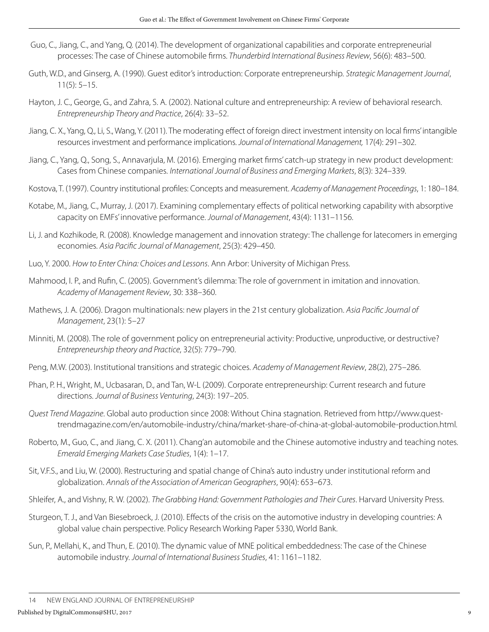- Guo, C., Jiang, C., and Yang, Q. (2014). The development of organizational capabilities and corporate entrepreneurial processes: The case of Chinese automobile firms. *Thunderbird International Business Review*, 56(6): 483–500.
- Guth, W.D., and Ginserg, A. (1990). Guest editor's introduction: Corporate entrepreneurship. *Strategic Management Journal*, 11(5): 5–15.
- Hayton, J. C., George, G., and Zahra, S. A. (2002). National culture and entrepreneurship: A review of behavioral research. *Entrepreneurship Theory and Practice*, 26(4): 33–52.
- Jiang, C. X., Yang, Q., Li, S., Wang, Y. (2011). The moderating effect of foreign direct investment intensity on local firms' intangible resources investment and performance implications. *Journal of International Management,* 17(4): 291–302.
- Jiang, C., Yang, Q., Song, S., Annavarjula, M. (2016). Emerging market firms' catch-up strategy in new product development: Cases from Chinese companies. *International Journal of Business and Emerging Markets*, 8(3): 324–339.
- Kostova, T. (1997). Country institutional profiles: Concepts and measurement. *Academy of Management Proceedings*, 1: 180–184.
- Kotabe, M., Jiang, C., Murray, J. (2017). Examining complementary effects of political networking capability with absorptive capacity on EMFs' innovative performance. *Journal of Management*, 43(4): 1131–1156.
- Li, J. and Kozhikode, R. (2008). Knowledge management and innovation strategy: The challenge for latecomers in emerging economies. *Asia Pacific Journal of Management*, 25(3): 429–450.
- Luo, Y. 2000. *How to Enter China: Choices and Lessons*. Ann Arbor: University of Michigan Press.
- Mahmood, I. P., and Rufin, C. (2005). Government's dilemma: The role of government in imitation and innovation. *Academy of Management Review*, 30: 338–360.
- Mathews, J. A. (2006). Dragon multinationals: new players in the 21st century globalization. *Asia Pacific Journal of Management*, 23(1): 5–27
- Minniti, M. (2008). The role of government policy on entrepreneurial activity: Productive, unproductive, or destructive? *Entrepreneurship theory and Practice*, 32(5): 779–790.
- Peng, M.W. (2003). Institutional transitions and strategic choices. *Academy of Management Review*, 28(2), 275–286.
- Phan, P. H., Wright, M., Ucbasaran, D., and Tan, W-L (2009). Corporate entrepreneurship: Current research and future directions. *Journal of Business Venturing*, 24(3): 197–205.
- *Quest Trend Magazine*. Global auto production since 2008: Without China stagnation. Retrieved from http://www.questtrendmagazine.com/en/automobile-industry/china/market-share-of-china-at-global-automobile-production.html.
- Roberto, M., Guo, C., and Jiang, C. X. (2011). Chang'an automobile and the Chinese automotive industry and teaching notes. *Emerald Emerging Markets Case Studies*, 1(4): 1–17.
- Sit, V.F.S., and Liu, W. (2000). Restructuring and spatial change of China's auto industry under institutional reform and globalization. *Annals of the Association of American Geographers*, 90(4): 653–673.
- Shleifer, A., and Vishny, R. W. (2002). *The Grabbing Hand: Government Pathologies and Their Cures*. Harvard University Press.
- Sturgeon, T. J., and Van Biesebroeck, J. (2010). Effects of the crisis on the automotive industry in developing countries: A global value chain perspective. Policy Research Working Paper 5330, World Bank.
- Sun, P., Mellahi, K., and Thun, E. (2010). The dynamic value of MNE political embeddedness: The case of the Chinese automobile industry. *Journal of International Business Studies*, 41: 1161–1182.

14 NEW ENGLAND JOURNAL OF ENTREPRENEURSHIP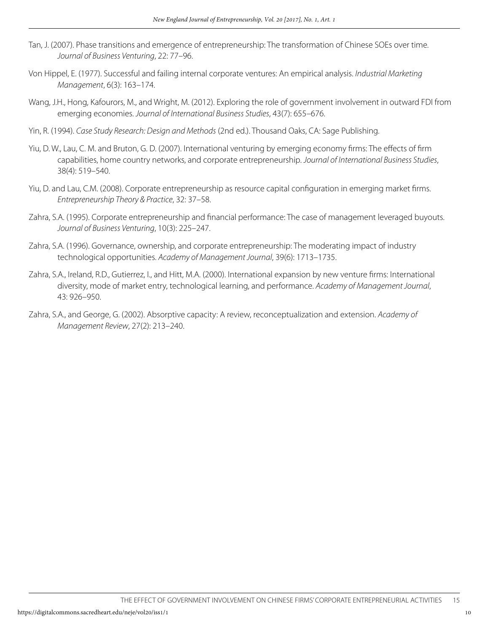- Tan, J. (2007). Phase transitions and emergence of entrepreneurship: The transformation of Chinese SOEs over time. *Journal of Business Venturing*, 22: 77–96.
- Von Hippel, E. (1977). Successful and failing internal corporate ventures: An empirical analysis. *Industrial Marketing Management*, 6(3): 163–174.
- Wang, J.H., Hong, Kafourors, M., and Wright, M. (2012). Exploring the role of government involvement in outward FDI from emerging economies. *Journal of International Business Studies*, 43(7): 655–676.
- Yin, R. (1994). *Case Study Research: Design and Methods* (2nd ed.). Thousand Oaks, CA: Sage Publishing.
- Yiu, D. W., Lau, C. M. and Bruton, G. D. (2007). International venturing by emerging economy firms: The effects of firm capabilities, home country networks, and corporate entrepreneurship. *Journal of International Business Studies*, 38(4): 519–540.
- Yiu, D. and Lau, C.M. (2008). Corporate entrepreneurship as resource capital configuration in emerging market firms. *Entrepreneurship Theory & Practice*, 32: 37–58.
- Zahra, S.A. (1995). Corporate entrepreneurship and financial performance: The case of management leveraged buyouts. *Journal of Business Venturing*, 10(3): 225–247.
- Zahra, S.A. (1996). Governance, ownership, and corporate entrepreneurship: The moderating impact of industry technological opportunities. *Academy of Management Journal*, 39(6): 1713–1735.
- Zahra, S.A., Ireland, R.D., Gutierrez, I., and Hitt, M.A. (2000). International expansion by new venture firms: International diversity, mode of market entry, technological learning, and performance. *Academy of Management Journal*, 43: 926–950.
- Zahra, S.A., and George, G. (2002). Absorptive capacity: A review, reconceptualization and extension. *Academy of Management Review*, 27(2): 213–240.